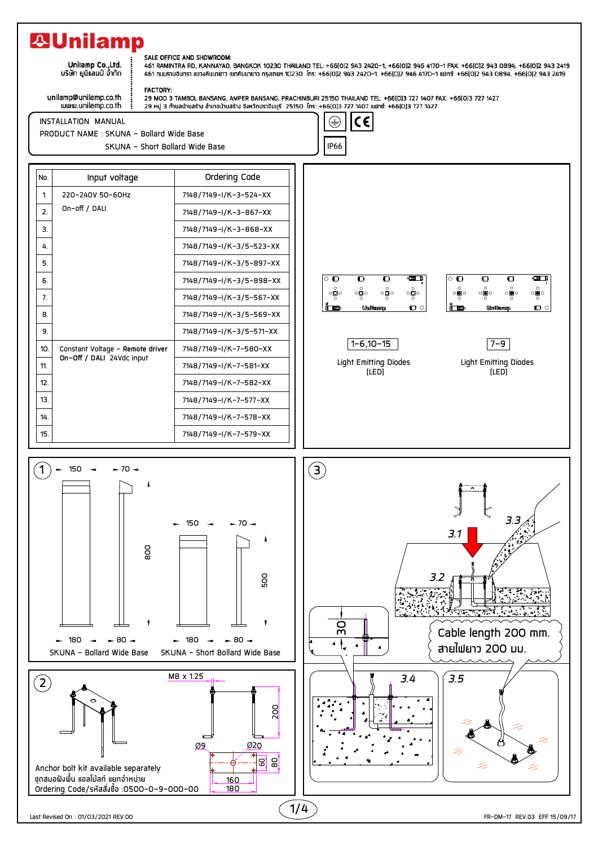## **29Unilamp**

Unilamp Co., Ltd. บริษัท ยูนิแลมป์ จ้ำกัด

## SALE OFFICE AND SHOWROOM:

461 RAMINTRA RD, KANNAYAO, BANGKOK 10230 THAILAND TEL: +66[0]2 943 2420-1, +66[0]2 946 4170-1 FAX: +66[0]2 943 0894, +66[0]2 943 2419 461 กนนรามอินทรา แขวงคันนายาว เขตคันนายาว ทรงเทพฯ 10230 โทร: +66(0)2 943 2420-1, +66(0)2 946 4170-1 แฟทซ์: +66(0)2 943 0894, +66(0)2 943 2419

unilamp@unilamp.co.th<br>www.unilamp.co.th

**FACTORY:** 

**INSTALLATION MANUAL** 

PRODUCT NAME : SKUNA - Bollard Wide Base



SKUNA - Short Bollard Wide Base

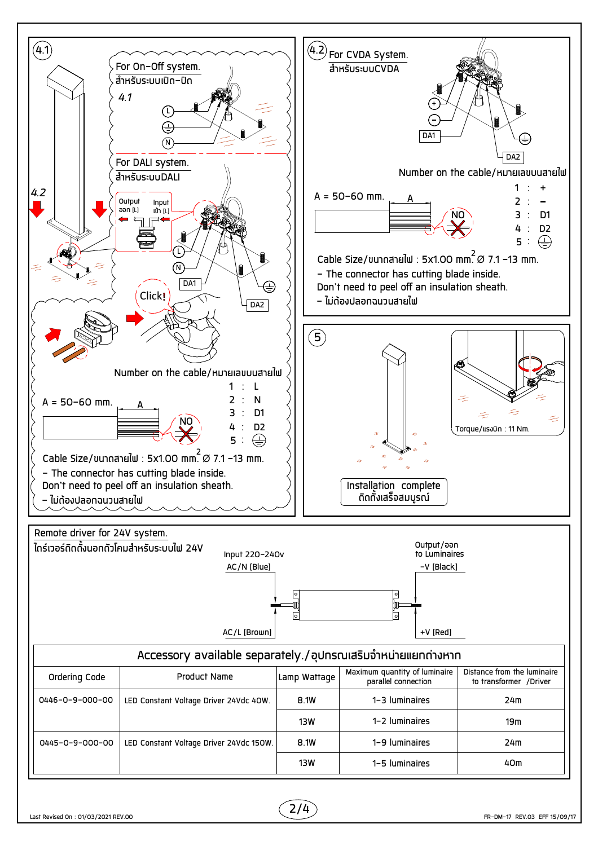

 $2/4$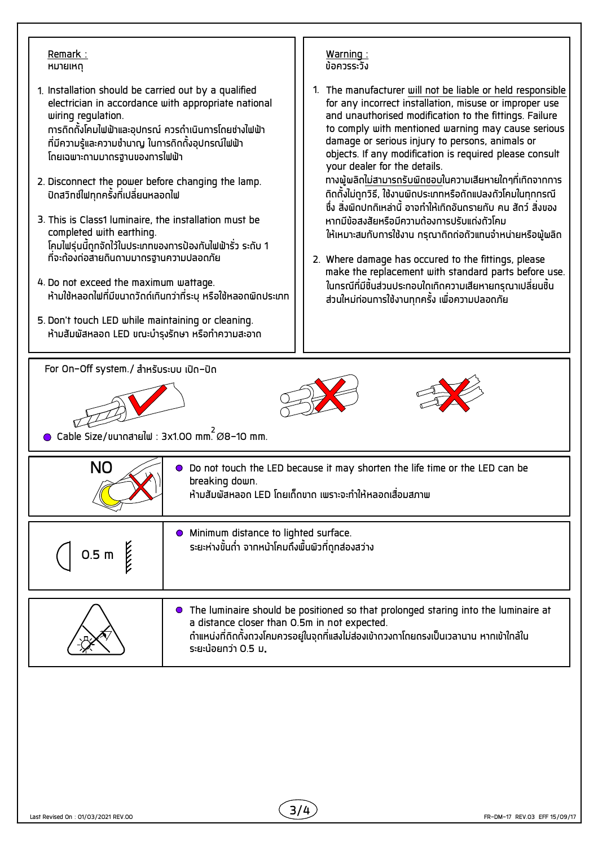